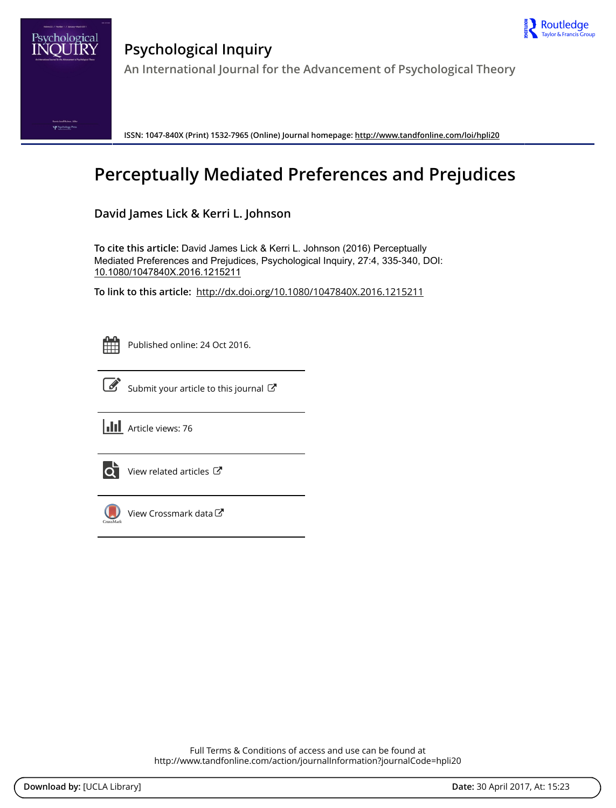



**Psychological Inquiry An International Journal for the Advancement of Psychological Theory**

**ISSN: 1047-840X (Print) 1532-7965 (Online) Journal homepage: <http://www.tandfonline.com/loi/hpli20>**

# **Perceptually Mediated Preferences and Prejudices**

**David James Lick & Kerri L. Johnson**

**To cite this article:** David James Lick & Kerri L. Johnson (2016) Perceptually Mediated Preferences and Prejudices, Psychological Inquiry, 27:4, 335-340, DOI: [10.1080/1047840X.2016.1215211](http://www.tandfonline.com/action/showCitFormats?doi=10.1080/1047840X.2016.1215211)

**To link to this article:** <http://dx.doi.org/10.1080/1047840X.2016.1215211>



Published online: 24 Oct 2016.



 $\overrightarrow{S}$  [Submit your article to this journal](http://www.tandfonline.com/action/authorSubmission?journalCode=hpli20&show=instructions)  $\overrightarrow{S}$ 

**Article views: 76** 



 $\overrightarrow{O}$  [View related articles](http://www.tandfonline.com/doi/mlt/10.1080/1047840X.2016.1215211)  $\overrightarrow{C}$ 



[View Crossmark data](http://crossmark.crossref.org/dialog/?doi=10.1080/1047840X.2016.1215211&domain=pdf&date_stamp=2016-10-24)<sup>で</sup>

Full Terms & Conditions of access and use can be found at <http://www.tandfonline.com/action/journalInformation?journalCode=hpli20>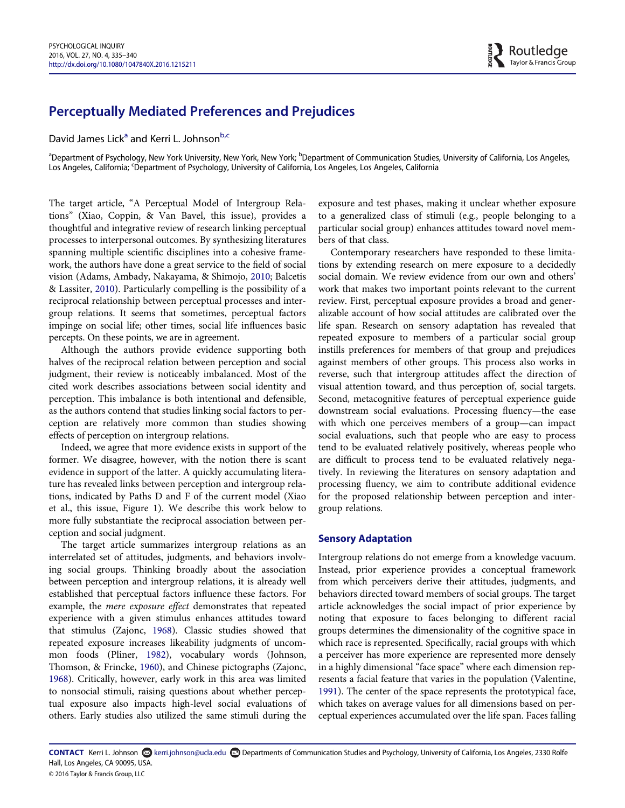# Perceptually Mediated Preferences and Prejudices

D[a](#page-1-0)vid James Lick<sup>a</sup> and Kerri L. Johnson<sup>[b](#page-1-0)[,c](#page-1-1)</sup>

<span id="page-1-1"></span><span id="page-1-0"></span><sup>a</sup>Department of Psychology, New York University, New York, New York; <sup>b</sup>Department of Communication Studies, University of California, Los Angeles, Los Angeles, California; <sup>c</sup>Department of Psychology, University of California, Los Angeles, Los Angeles, California

The target article, "A Perceptual Model of Intergroup Relations" (Xiao, Coppin, & Van Bavel, this issue), provides a thoughtful and integrative review of research linking perceptual processes to interpersonal outcomes. By synthesizing literatures spanning multiple scientific disciplines into a cohesive framework, the authors have done a great service to the field of social vision (Adams, Ambady, Nakayama, & Shimojo, [2010;](#page-5-0) Balcetis & Lassiter, [2010](#page-5-1)). Particularly compelling is the possibility of a reciprocal relationship between perceptual processes and intergroup relations. It seems that sometimes, perceptual factors impinge on social life; other times, social life influences basic percepts. On these points, we are in agreement.

Although the authors provide evidence supporting both halves of the reciprocal relation between perception and social judgment, their review is noticeably imbalanced. Most of the cited work describes associations between social identity and perception. This imbalance is both intentional and defensible, as the authors contend that studies linking social factors to perception are relatively more common than studies showing effects of perception on intergroup relations.

Indeed, we agree that more evidence exists in support of the former. We disagree, however, with the notion there is scant evidence in support of the latter. A quickly accumulating literature has revealed links between perception and intergroup relations, indicated by Paths D and F of the current model (Xiao et al., this issue, Figure 1). We describe this work below to more fully substantiate the reciprocal association between perception and social judgment.

The target article summarizes intergroup relations as an interrelated set of attitudes, judgments, and behaviors involving social groups. Thinking broadly about the association between perception and intergroup relations, it is already well established that perceptual factors influence these factors. For example, the mere exposure effect demonstrates that repeated experience with a given stimulus enhances attitudes toward that stimulus (Zajonc, [1968](#page-6-0)). Classic studies showed that repeated exposure increases likeability judgments of uncommon foods (Pliner, [1982](#page-6-1)), vocabulary words (Johnson, Thomson, & Frincke, [1960](#page-5-2)), and Chinese pictographs (Zajonc, [1968\)](#page-6-0). Critically, however, early work in this area was limited to nonsocial stimuli, raising questions about whether perceptual exposure also impacts high-level social evaluations of others. Early studies also utilized the same stimuli during the

exposure and test phases, making it unclear whether exposure to a generalized class of stimuli (e.g., people belonging to a particular social group) enhances attitudes toward novel members of that class.

Contemporary researchers have responded to these limitations by extending research on mere exposure to a decidedly social domain. We review evidence from our own and others' work that makes two important points relevant to the current review. First, perceptual exposure provides a broad and generalizable account of how social attitudes are calibrated over the life span. Research on sensory adaptation has revealed that repeated exposure to members of a particular social group instills preferences for members of that group and prejudices against members of other groups. This process also works in reverse, such that intergroup attitudes affect the direction of visual attention toward, and thus perception of, social targets. Second, metacognitive features of perceptual experience guide downstream social evaluations. Processing fluency—the ease with which one perceives members of a group—can impact social evaluations, such that people who are easy to process tend to be evaluated relatively positively, whereas people who are difficult to process tend to be evaluated relatively negatively. In reviewing the literatures on sensory adaptation and processing fluency, we aim to contribute additional evidence for the proposed relationship between perception and intergroup relations.

## Sensory Adaptation

Intergroup relations do not emerge from a knowledge vacuum. Instead, prior experience provides a conceptual framework from which perceivers derive their attitudes, judgments, and behaviors directed toward members of social groups. The target article acknowledges the social impact of prior experience by noting that exposure to faces belonging to different racial groups determines the dimensionality of the cognitive space in which race is represented. Specifically, racial groups with which a perceiver has more experience are represented more densely in a highly dimensional "face space" where each dimension represents a facial feature that varies in the population (Valentine, [1991](#page-6-2)). The center of the space represents the prototypical face, which takes on average values for all dimensions based on perceptual experiences accumulated over the life span. Faces falling

CONTACT Kerri L. Johnson kerri.johnson@ucla.edu Departments of Communication Studies and Psychology, University of California, Los Angeles, 2330 Rolfe Hall, Los Angeles, CA 90095, USA. © 2016 Taylor & Francis Group, LLC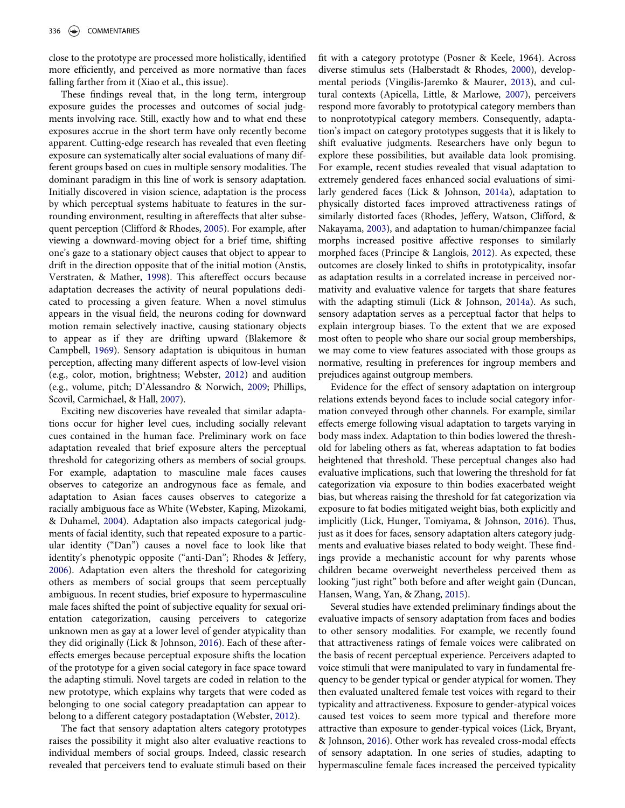close to the prototype are processed more holistically, identified more efficiently, and perceived as more normative than faces falling farther from it (Xiao et al., this issue).

These findings reveal that, in the long term, intergroup exposure guides the processes and outcomes of social judgments involving race. Still, exactly how and to what end these exposures accrue in the short term have only recently become apparent. Cutting-edge research has revealed that even fleeting exposure can systematically alter social evaluations of many different groups based on cues in multiple sensory modalities. The dominant paradigm in this line of work is sensory adaptation. Initially discovered in vision science, adaptation is the process by which perceptual systems habituate to features in the surrounding environment, resulting in aftereffects that alter subsequent perception (Clifford & Rhodes, [2005](#page-5-3)). For example, after viewing a downward-moving object for a brief time, shifting one's gaze to a stationary object causes that object to appear to drift in the direction opposite that of the initial motion (Anstis, Verstraten, & Mather, [1998](#page-5-4)). This aftereffect occurs because adaptation decreases the activity of neural populations dedicated to processing a given feature. When a novel stimulus appears in the visual field, the neurons coding for downward motion remain selectively inactive, causing stationary objects to appear as if they are drifting upward (Blakemore & Campbell, [1969\)](#page-5-5). Sensory adaptation is ubiquitous in human perception, affecting many different aspects of low-level vision (e.g., color, motion, brightness; Webster, [2012\)](#page-6-3) and audition (e.g., volume, pitch; D'Alessandro & Norwich, [2009;](#page-5-6) Phillips, Scovil, Carmichael, & Hall, [2007](#page-6-4)).

Exciting new discoveries have revealed that similar adaptations occur for higher level cues, including socially relevant cues contained in the human face. Preliminary work on face adaptation revealed that brief exposure alters the perceptual threshold for categorizing others as members of social groups. For example, adaptation to masculine male faces causes observes to categorize an androgynous face as female, and adaptation to Asian faces causes observes to categorize a racially ambiguous face as White (Webster, Kaping, Mizokami, & Duhamel, [2004\)](#page-6-5). Adaptation also impacts categorical judgments of facial identity, such that repeated exposure to a particular identity ("Dan") causes a novel face to look like that identity's phenotypic opposite ("anti-Dan"; Rhodes & Jeffery, [2006\)](#page-6-6). Adaptation even alters the threshold for categorizing others as members of social groups that seem perceptually ambiguous. In recent studies, brief exposure to hypermasculine male faces shifted the point of subjective equality for sexual orientation categorization, causing perceivers to categorize unknown men as gay at a lower level of gender atypicality than they did originally (Lick & Johnson, [2016](#page-5-7)). Each of these aftereffects emerges because perceptual exposure shifts the location of the prototype for a given social category in face space toward the adapting stimuli. Novel targets are coded in relation to the new prototype, which explains why targets that were coded as belonging to one social category preadaptation can appear to belong to a different category postadaptation (Webster, [2012](#page-6-3)).

The fact that sensory adaptation alters category prototypes raises the possibility it might also alter evaluative reactions to individual members of social groups. Indeed, classic research revealed that perceivers tend to evaluate stimuli based on their fit with a category prototype (Posner & Keele, 1964). Across diverse stimulus sets (Halberstadt & Rhodes, [2000](#page-5-8)), developmental periods (Vingilis-Jaremko & Maurer, [2013\)](#page-6-7), and cultural contexts (Apicella, Little, & Marlowe, [2007](#page-5-9)), perceivers respond more favorably to prototypical category members than to nonprototypical category members. Consequently, adaptation's impact on category prototypes suggests that it is likely to shift evaluative judgments. Researchers have only begun to explore these possibilities, but available data look promising. For example, recent studies revealed that visual adaptation to extremely gendered faces enhanced social evaluations of similarly gendered faces (Lick & Johnson, [2014a\)](#page-5-10), adaptation to physically distorted faces improved attractiveness ratings of similarly distorted faces (Rhodes, Jeffery, Watson, Clifford, & Nakayama, [2003\)](#page-6-8), and adaptation to human/chimpanzee facial morphs increased positive affective responses to similarly morphed faces (Principe & Langlois, [2012\)](#page-6-9). As expected, these outcomes are closely linked to shifts in prototypicality, insofar as adaptation results in a correlated increase in perceived normativity and evaluative valence for targets that share features with the adapting stimuli (Lick & Johnson, [2014a](#page-5-10)). As such, sensory adaptation serves as a perceptual factor that helps to explain intergroup biases. To the extent that we are exposed most often to people who share our social group memberships, we may come to view features associated with those groups as normative, resulting in preferences for ingroup members and prejudices against outgroup members.

Evidence for the effect of sensory adaptation on intergroup relations extends beyond faces to include social category information conveyed through other channels. For example, similar effects emerge following visual adaptation to targets varying in body mass index. Adaptation to thin bodies lowered the threshold for labeling others as fat, whereas adaptation to fat bodies heightened that threshold. These perceptual changes also had evaluative implications, such that lowering the threshold for fat categorization via exposure to thin bodies exacerbated weight bias, but whereas raising the threshold for fat categorization via exposure to fat bodies mitigated weight bias, both explicitly and implicitly (Lick, Hunger, Tomiyama, & Johnson, [2016\)](#page-5-7). Thus, just as it does for faces, sensory adaptation alters category judgments and evaluative biases related to body weight. These findings provide a mechanistic account for why parents whose children became overweight nevertheless perceived them as looking "just right" both before and after weight gain (Duncan, Hansen, Wang, Yan, & Zhang, [2015](#page-5-11)).

Several studies have extended preliminary findings about the evaluative impacts of sensory adaptation from faces and bodies to other sensory modalities. For example, we recently found that attractiveness ratings of female voices were calibrated on the basis of recent perceptual experience. Perceivers adapted to voice stimuli that were manipulated to vary in fundamental frequency to be gender typical or gender atypical for women. They then evaluated unaltered female test voices with regard to their typicality and attractiveness. Exposure to gender-atypical voices caused test voices to seem more typical and therefore more attractive than exposure to gender-typical voices (Lick, Bryant, & Johnson, [2016\)](#page-5-7). Other work has revealed cross-modal effects of sensory adaptation. In one series of studies, adapting to hypermasculine female faces increased the perceived typicality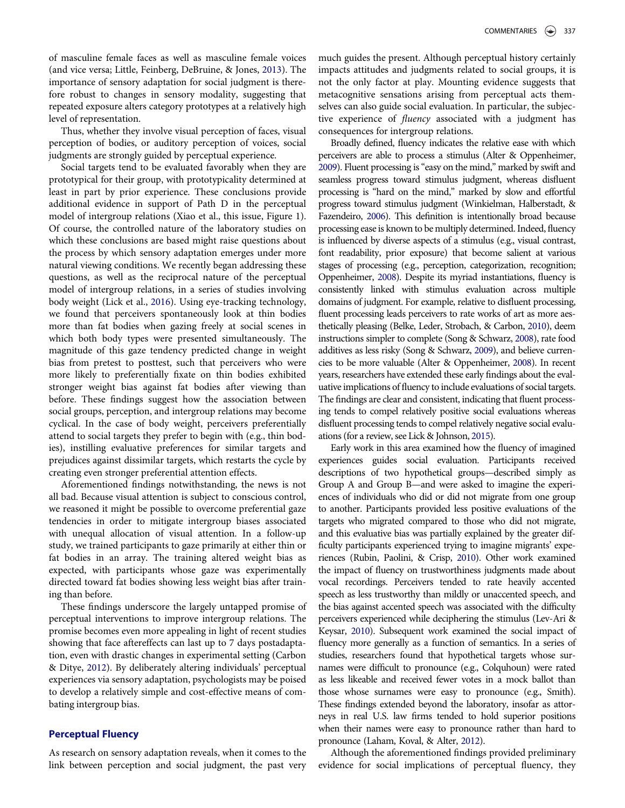of masculine female faces as well as masculine female voices (and vice versa; Little, Feinberg, DeBruine, & Jones, [2013](#page-6-10)). The importance of sensory adaptation for social judgment is therefore robust to changes in sensory modality, suggesting that repeated exposure alters category prototypes at a relatively high level of representation.

Thus, whether they involve visual perception of faces, visual perception of bodies, or auditory perception of voices, social judgments are strongly guided by perceptual experience.

Social targets tend to be evaluated favorably when they are prototypical for their group, with prototypicality determined at least in part by prior experience. These conclusions provide additional evidence in support of Path D in the perceptual model of intergroup relations (Xiao et al., this issue, Figure 1). Of course, the controlled nature of the laboratory studies on which these conclusions are based might raise questions about the process by which sensory adaptation emerges under more natural viewing conditions. We recently began addressing these questions, as well as the reciprocal nature of the perceptual model of intergroup relations, in a series of studies involving body weight (Lick et al., [2016\)](#page-5-7). Using eye-tracking technology, we found that perceivers spontaneously look at thin bodies more than fat bodies when gazing freely at social scenes in which both body types were presented simultaneously. The magnitude of this gaze tendency predicted change in weight bias from pretest to posttest, such that perceivers who were more likely to preferentially fixate on thin bodies exhibited stronger weight bias against fat bodies after viewing than before. These findings suggest how the association between social groups, perception, and intergroup relations may become cyclical. In the case of body weight, perceivers preferentially attend to social targets they prefer to begin with (e.g., thin bodies), instilling evaluative preferences for similar targets and prejudices against dissimilar targets, which restarts the cycle by creating even stronger preferential attention effects.

Aforementioned findings notwithstanding, the news is not all bad. Because visual attention is subject to conscious control, we reasoned it might be possible to overcome preferential gaze tendencies in order to mitigate intergroup biases associated with unequal allocation of visual attention. In a follow-up study, we trained participants to gaze primarily at either thin or fat bodies in an array. The training altered weight bias as expected, with participants whose gaze was experimentally directed toward fat bodies showing less weight bias after training than before.

These findings underscore the largely untapped promise of perceptual interventions to improve intergroup relations. The promise becomes even more appealing in light of recent studies showing that face aftereffects can last up to 7 days postadaptation, even with drastic changes in experimental setting (Carbon & Ditye, [2012](#page-5-12)). By deliberately altering individuals' perceptual experiences via sensory adaptation, psychologists may be poised to develop a relatively simple and cost-effective means of combating intergroup bias.

#### Perceptual Fluency

As research on sensory adaptation reveals, when it comes to the link between perception and social judgment, the past very much guides the present. Although perceptual history certainly impacts attitudes and judgments related to social groups, it is not the only factor at play. Mounting evidence suggests that metacognitive sensations arising from perceptual acts themselves can also guide social evaluation. In particular, the subjective experience of fluency associated with a judgment has consequences for intergroup relations.

Broadly defined, fluency indicates the relative ease with which perceivers are able to process a stimulus (Alter & Oppenheimer, [2009](#page-5-13)). Fluent processing is"easy on the mind," marked by swift and seamless progress toward stimulus judgment, whereas disfluent processing is "hard on the mind," marked by slow and effortful progress toward stimulus judgment (Winkielman, Halberstadt, & Fazendeiro, [2006](#page-6-11)). This definition is intentionally broad because processing ease is known to be multiply determined. Indeed, fluency is influenced by diverse aspects of a stimulus (e.g., visual contrast, font readability, prior exposure) that become salient at various stages of processing (e.g., perception, categorization, recognition; Oppenheimer, [2008](#page-6-12)). Despite its myriad instantiations, fluency is consistently linked with stimulus evaluation across multiple domains of judgment. For example, relative to disfluent processing, fluent processing leads perceivers to rate works of art as more aesthetically pleasing (Belke, Leder, Strobach, & Carbon, [2010](#page-5-14)), deem instructions simpler to complete (Song & Schwarz, [2008\)](#page-6-13), rate food additives as less risky (Song & Schwarz, [2009\)](#page-6-14), and believe currencies to be more valuable (Alter & Oppenheimer, [2008\)](#page-6-12). In recent years, researchers have extended these early findings about the evaluative implications of fluency to include evaluations of social targets. The findings are clear and consistent, indicating that fluent processing tends to compel relatively positive social evaluations whereas disfluent processing tends to compel relatively negative social evaluations (for a review, see Lick & Johnson, [2015](#page-5-15)).

Early work in this area examined how the fluency of imagined experiences guides social evaluation. Participants received descriptions of two hypothetical groups—described simply as Group A and Group B—and were asked to imagine the experiences of individuals who did or did not migrate from one group to another. Participants provided less positive evaluations of the targets who migrated compared to those who did not migrate, and this evaluative bias was partially explained by the greater difficulty participants experienced trying to imagine migrants' experiences (Rubin, Paolini, & Crisp, [2010](#page-6-15)). Other work examined the impact of fluency on trustworthiness judgments made about vocal recordings. Perceivers tended to rate heavily accented speech as less trustworthy than mildly or unaccented speech, and the bias against accented speech was associated with the difficulty perceivers experienced while deciphering the stimulus (Lev-Ari & Keysar, [2010](#page-5-16)). Subsequent work examined the social impact of fluency more generally as a function of semantics. In a series of studies, researchers found that hypothetical targets whose surnames were difficult to pronounce (e.g., Colquhoun) were rated as less likeable and received fewer votes in a mock ballot than those whose surnames were easy to pronounce (e.g., Smith). These findings extended beyond the laboratory, insofar as attorneys in real U.S. law firms tended to hold superior positions when their names were easy to pronounce rather than hard to pronounce (Laham, Koval, & Alter, [2012](#page-5-17)).

Although the aforementioned findings provided preliminary evidence for social implications of perceptual fluency, they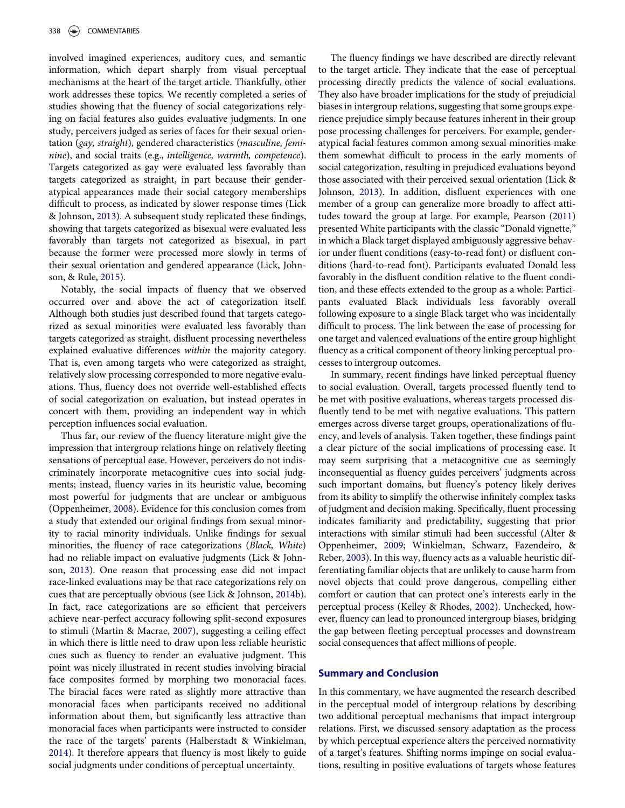involved imagined experiences, auditory cues, and semantic information, which depart sharply from visual perceptual mechanisms at the heart of the target article. Thankfully, other work addresses these topics. We recently completed a series of studies showing that the fluency of social categorizations relying on facial features also guides evaluative judgments. In one study, perceivers judged as series of faces for their sexual orientation (gay, straight), gendered characteristics (masculine, feminine), and social traits (e.g., intelligence, warmth, competence). Targets categorized as gay were evaluated less favorably than targets categorized as straight, in part because their genderatypical appearances made their social category memberships difficult to process, as indicated by slower response times (Lick & Johnson, [2013\)](#page-6-16). A subsequent study replicated these findings, showing that targets categorized as bisexual were evaluated less favorably than targets not categorized as bisexual, in part because the former were processed more slowly in terms of their sexual orientation and gendered appearance (Lick, Johnson, & Rule, [2015\)](#page-5-15).

Notably, the social impacts of fluency that we observed occurred over and above the act of categorization itself. Although both studies just described found that targets categorized as sexual minorities were evaluated less favorably than targets categorized as straight, disfluent processing nevertheless explained evaluative differences within the majority category. That is, even among targets who were categorized as straight, relatively slow processing corresponded to more negative evaluations. Thus, fluency does not override well-established effects of social categorization on evaluation, but instead operates in concert with them, providing an independent way in which perception influences social evaluation.

Thus far, our review of the fluency literature might give the impression that intergroup relations hinge on relatively fleeting sensations of perceptual ease. However, perceivers do not indiscriminately incorporate metacognitive cues into social judgments; instead, fluency varies in its heuristic value, becoming most powerful for judgments that are unclear or ambiguous (Oppenheimer, [2008](#page-6-12)). Evidence for this conclusion comes from a study that extended our original findings from sexual minority to racial minority individuals. Unlike findings for sexual minorities, the fluency of race categorizations (Black, White) had no reliable impact on evaluative judgments (Lick & Johnson, [2013\)](#page-6-16). One reason that processing ease did not impact race-linked evaluations may be that race categorizations rely on cues that are perceptually obvious (see Lick & Johnson, [2014b](#page-6-17)). In fact, race categorizations are so efficient that perceivers achieve near-perfect accuracy following split-second exposures to stimuli (Martin & Macrae, [2007\)](#page-6-18), suggesting a ceiling effect in which there is little need to draw upon less reliable heuristic cues such as fluency to render an evaluative judgment. This point was nicely illustrated in recent studies involving biracial face composites formed by morphing two monoracial faces. The biracial faces were rated as slightly more attractive than monoracial faces when participants received no additional information about them, but significantly less attractive than monoracial faces when participants were instructed to consider the race of the targets' parents (Halberstadt & Winkielman, [2014\)](#page-5-18). It therefore appears that fluency is most likely to guide social judgments under conditions of perceptual uncertainty.

The fluency findings we have described are directly relevant to the target article. They indicate that the ease of perceptual processing directly predicts the valence of social evaluations. They also have broader implications for the study of prejudicial biases in intergroup relations, suggesting that some groups experience prejudice simply because features inherent in their group pose processing challenges for perceivers. For example, genderatypical facial features common among sexual minorities make them somewhat difficult to process in the early moments of social categorization, resulting in prejudiced evaluations beyond those associated with their perceived sexual orientation (Lick & Johnson, [2013](#page-6-16)). In addition, disfluent experiences with one member of a group can generalize more broadly to affect attitudes toward the group at large. For example, Pearson ([2011\)](#page-6-19) presented White participants with the classic "Donald vignette," in which a Black target displayed ambiguously aggressive behavior under fluent conditions (easy-to-read font) or disfluent conditions (hard-to-read font). Participants evaluated Donald less favorably in the disfluent condition relative to the fluent condition, and these effects extended to the group as a whole: Participants evaluated Black individuals less favorably overall following exposure to a single Black target who was incidentally difficult to process. The link between the ease of processing for one target and valenced evaluations of the entire group highlight fluency as a critical component of theory linking perceptual processes to intergroup outcomes.

In summary, recent findings have linked perceptual fluency to social evaluation. Overall, targets processed fluently tend to be met with positive evaluations, whereas targets processed disfluently tend to be met with negative evaluations. This pattern emerges across diverse target groups, operationalizations of fluency, and levels of analysis. Taken together, these findings paint a clear picture of the social implications of processing ease. It may seem surprising that a metacognitive cue as seemingly inconsequential as fluency guides perceivers' judgments across such important domains, but fluency's potency likely derives from its ability to simplify the otherwise infinitely complex tasks of judgment and decision making. Specifically, fluent processing indicates familiarity and predictability, suggesting that prior interactions with similar stimuli had been successful (Alter & Oppenheimer, [2009](#page-5-13); Winkielman, Schwarz, Fazendeiro, & Reber, [2003](#page-6-20)). In this way, fluency acts as a valuable heuristic differentiating familiar objects that are unlikely to cause harm from novel objects that could prove dangerous, compelling either comfort or caution that can protect one's interests early in the perceptual process (Kelley & Rhodes, [2002\)](#page-5-19). Unchecked, however, fluency can lead to pronounced intergroup biases, bridging the gap between fleeting perceptual processes and downstream social consequences that affect millions of people.

#### Summary and Conclusion

In this commentary, we have augmented the research described in the perceptual model of intergroup relations by describing two additional perceptual mechanisms that impact intergroup relations. First, we discussed sensory adaptation as the process by which perceptual experience alters the perceived normativity of a target's features. Shifting norms impinge on social evaluations, resulting in positive evaluations of targets whose features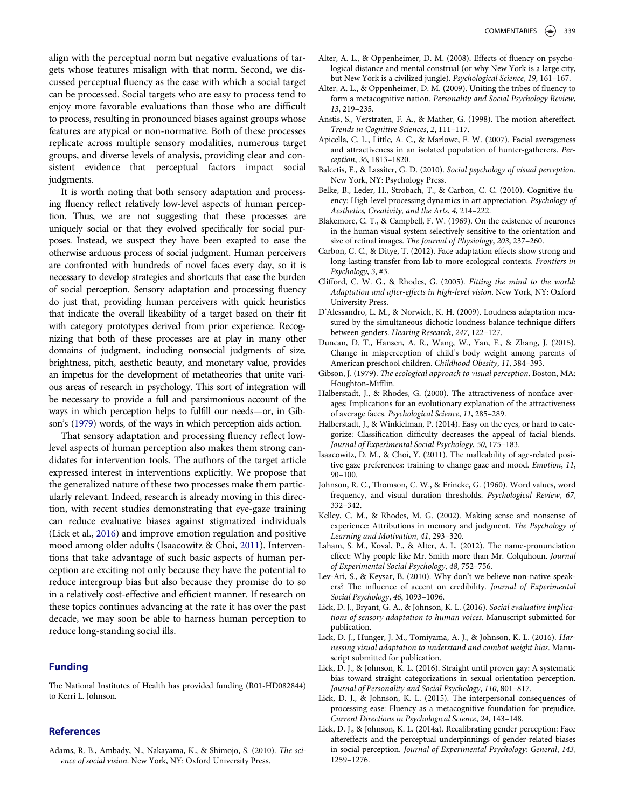<span id="page-5-13"></span><span id="page-5-4"></span>align with the perceptual norm but negative evaluations of targets whose features misalign with that norm. Second, we discussed perceptual fluency as the ease with which a social target can be processed. Social targets who are easy to process tend to enjoy more favorable evaluations than those who are difficult to process, resulting in pronounced biases against groups whose features are atypical or non-normative. Both of these processes replicate across multiple sensory modalities, numerous target groups, and diverse levels of analysis, providing clear and consistent evidence that perceptual factors impact social judgments.

<span id="page-5-14"></span><span id="page-5-12"></span><span id="page-5-9"></span><span id="page-5-6"></span><span id="page-5-5"></span><span id="page-5-3"></span><span id="page-5-1"></span>It is worth noting that both sensory adaptation and processing fluency reflect relatively low-level aspects of human perception. Thus, we are not suggesting that these processes are uniquely social or that they evolved specifically for social purposes. Instead, we suspect they have been exapted to ease the otherwise arduous process of social judgment. Human perceivers are confronted with hundreds of novel faces every day, so it is necessary to develop strategies and shortcuts that ease the burden of social perception. Sensory adaptation and processing fluency do just that, providing human perceivers with quick heuristics that indicate the overall likeability of a target based on their fit with category prototypes derived from prior experience. Recognizing that both of these processes are at play in many other domains of judgment, including nonsocial judgments of size, brightness, pitch, aesthetic beauty, and monetary value, provides an impetus for the development of metatheories that unite various areas of research in psychology. This sort of integration will be necessary to provide a full and parsimonious account of the ways in which perception helps to fulfill our needs—or, in Gibson's [\(1979](#page-5-20)) words, of the ways in which perception aids action.

<span id="page-5-21"></span><span id="page-5-20"></span><span id="page-5-19"></span><span id="page-5-18"></span><span id="page-5-17"></span><span id="page-5-11"></span><span id="page-5-8"></span><span id="page-5-2"></span>That sensory adaptation and processing fluency reflect lowlevel aspects of human perception also makes them strong candidates for intervention tools. The authors of the target article expressed interest in interventions explicitly. We propose that the generalized nature of these two processes make them particularly relevant. Indeed, research is already moving in this direction, with recent studies demonstrating that eye-gaze training can reduce evaluative biases against stigmatized individuals (Lick et al., [2016](#page-5-7)) and improve emotion regulation and positive mood among older adults (Isaacowitz & Choi, [2011](#page-5-21)). Interventions that take advantage of such basic aspects of human perception are exciting not only because they have the potential to reduce intergroup bias but also because they promise do to so in a relatively cost-effective and efficient manner. If research on these topics continues advancing at the rate it has over the past decade, we may soon be able to harness human perception to reduce long-standing social ills.

## <span id="page-5-16"></span><span id="page-5-7"></span>Funding

<span id="page-5-15"></span>The National Institutes of Health has provided funding (R01-HD082844) to Kerri L. Johnson.

#### <span id="page-5-10"></span>References

<span id="page-5-0"></span>Adams, R. B., Ambady, N., Nakayama, K., & Shimojo, S. (2010). The science of social vision. New York, NY: Oxford University Press.

- Alter, A. L., & Oppenheimer, D. M. (2008). Effects of fluency on psychological distance and mental construal (or why New York is a large city, but New York is a civilized jungle). Psychological Science, 19, 161–167.
- Alter, A. L., & Oppenheimer, D. M. (2009). Uniting the tribes of fluency to form a metacognitive nation. Personality and Social Psychology Review, 13, 219–235.
- Anstis, S., Verstraten, F. A., & Mather, G. (1998). The motion aftereffect. Trends in Cognitive Sciences, 2, 111–117.
- Apicella, C. L., Little, A. C., & Marlowe, F. W. (2007). Facial averageness and attractiveness in an isolated population of hunter-gatherers. Perception, 36, 1813–1820.
- Balcetis, E., & Lassiter, G. D. (2010). Social psychology of visual perception. New York, NY: Psychology Press.
- Belke, B., Leder, H., Strobach, T., & Carbon, C. C. (2010). Cognitive fluency: High-level processing dynamics in art appreciation. Psychology of Aesthetics, Creativity, and the Arts, 4, 214–222.
- Blakemore, C. T., & Campbell, F. W. (1969). On the existence of neurones in the human visual system selectively sensitive to the orientation and size of retinal images. The Journal of Physiology, 203, 237–260.
- Carbon, C. C., & Ditye, T. (2012). Face adaptation effects show strong and long-lasting transfer from lab to more ecological contexts. Frontiers in Psychology, 3, #3.
- Clifford, C. W. G., & Rhodes, G. (2005). Fitting the mind to the world: Adaptation and after-effects in high-level vision. New York, NY: Oxford University Press.
- D'Alessandro, L. M., & Norwich, K. H. (2009). Loudness adaptation measured by the simultaneous dichotic loudness balance technique differs between genders. Hearing Research, 247, 122–127.
- Duncan, D. T., Hansen, A. R., Wang, W., Yan, F., & Zhang, J. (2015). Change in misperception of child's body weight among parents of American preschool children. Childhood Obesity, 11, 384–393.
- Gibson, J. (1979). The ecological approach to visual perception. Boston, MA: Houghton-Mifflin.
- Halberstadt, J., & Rhodes, G. (2000). The attractiveness of nonface averages: Implications for an evolutionary explanation of the attractiveness of average faces. Psychological Science, 11, 285–289.
- Halberstadt, J., & Winkielman, P. (2014). Easy on the eyes, or hard to categorize: Classification difficulty decreases the appeal of facial blends. Journal of Experimental Social Psychology, 50, 175–183.
- Isaacowitz, D. M., & Choi, Y. (2011). The malleability of age-related positive gaze preferences: training to change gaze and mood. Emotion, 11, 90–100.
- Johnson, R. C., Thomson, C. W., & Frincke, G. (1960). Word values, word frequency, and visual duration thresholds. Psychological Review, 67, 332–342.
- Kelley, C. M., & Rhodes, M. G. (2002). Making sense and nonsense of experience: Attributions in memory and judgment. The Psychology of Learning and Motivation, 41, 293–320.
- Laham, S. M., Koval, P., & Alter, A. L. (2012). The name-pronunciation effect: Why people like Mr. Smith more than Mr. Colquhoun. Journal of Experimental Social Psychology, 48, 752–756.
- Lev-Ari, S., & Keysar, B. (2010). Why don't we believe non-native speakers? The influence of accent on credibility. Journal of Experimental Social Psychology, 46, 1093–1096.
- Lick, D. J., Bryant, G. A., & Johnson, K. L. (2016). Social evaluative implications of sensory adaptation to human voices. Manuscript submitted for publication.
- Lick, D. J., Hunger, J. M., Tomiyama, A. J., & Johnson, K. L. (2016). Harnessing visual adaptation to understand and combat weight bias. Manuscript submitted for publication.
- Lick, D. J., & Johnson, K. L. (2016). Straight until proven gay: A systematic bias toward straight categorizations in sexual orientation perception. Journal of Personality and Social Psychology, 110, 801–817.
- Lick, D. J., & Johnson, K. L. (2015). The interpersonal consequences of processing ease: Fluency as a metacognitive foundation for prejudice. Current Directions in Psychological Science, 24, 143–148.
- Lick, D. J., & Johnson, K. L. (2014a). Recalibrating gender perception: Face aftereffects and the perceptual underpinnings of gender-related biases in social perception. Journal of Experimental Psychology: General, 143, 1259–1276.